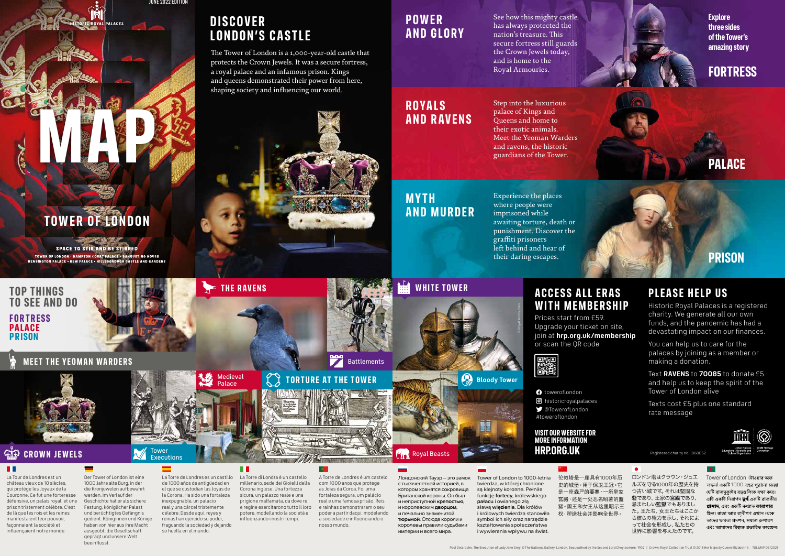# **WHITE TOWER**



### **MEET THE YEOMAN WARDERS**



## **CROWN JEWELS**

### **TELESCOPE**

### **FORTRESS PALACE PRISON TOP THINGS TO SEE AND DO**

© Royal Armouries

© British Library

**TORTURE AT THE TOWER** 

 $\bullet$ 

La Tour de Londres est un château vieux de 10 siècles, qui protège les Joyaux de la Couronne. Ce fut une forteresse défensive, un palais royal, et une prison tristement célèbre. C'est de là que les rois et les reines manifestaient leur pouvoir, façonnaient la société et influençaient notre monde.

Der Tower of London ist eine 1000 Jahre alte Burg, in der die Kronjuwelen aufbewahrt werden. Im Verlauf der Geschichte hat er als sichere Festung, königlicher Palast und berüchtigtes Gefängnis gedient. Königinnen und Könige haben von hier aus ihre Macht ausgeübt, die Gesellschaft geprägt und unsere Welt beeinflusst.

La Torre de Londres es un castillo de 1000 años de antigüedad en el que se custodian las Joyas de la Corona. Ha sido una fortaleza inexpugnable, un palacio real y una cárcel tristemente célebre. Desde aquí, reyes y reinas han ejercido su poder, fraguando la sociedad y dejando su huella en el mundo.

**Executions** 

Tower of London to 1000-letnia twierdza, w której chronione są klejnoty koronne. Pełniła funkcję **fortecy**, królewskiego **pałacu** i owianego złą sławą **więzienia**. Dla królów i królowych twierdza stanowiła symbol ich siły oraz narzędzie kształtowania społeczeństwa i wywierania wpływu na świat.

La Torre di Londra è un castello millenario, sede dei Gioielli della Corona inglese. Una fortezza sicura, un palazzo reale e una prigione malfamata, da dove re e regine esercitarono tutto il loro potere, modellando la società e influenzando i nostri tempi.

Лондонский Тауэр – это замок с тысячелетней историей, в котором хранятся сокровища Британской короны. Он был и неприступной **крепостью**, и королевским **дворцом**, и печально знаменитой **тюрьмой**. Отсюда короли и королевы правили судьбами империи и всего мира.

伦敦塔是一座具有1000年历 史的城堡,用于保卫王冠。它 是一座森严的要塞、一所皇家 宫殿,还是一处恶名昭著的监 狱。国王和女王从这里昭示王 权,塑造社会并影响全世界。

ロンドン塔はクラウン・ジュエ ルズを守る1000年の歴史を持 つ古い城です。それは堅固な 砦であり、王家の宮殿であり、 忌まわしい監獄でもありまし た。王たち、女王たちはここか ら彼らの権力を示し、それによ って社会を形成し、私たちの 世界に影響を与えたのです。



A Torre de Londres é um castelo com 1000 anos que protege as Joias da Coroa. Foi uma fortaleza segura, um palácio real e uma famosa prisão. Reis e rainhas demonstraram o seu poder a partir daqui, modelando a sociedade e influenciando o nosso mundo.

**Battlements** 

The Tower of London is a 1,000-year-old castle that protects the Crown Jewels. It was a secure fortress, a royal palace and an infamous prison. Kings and queens demonstrated their power from here, shaping society and influencing our world.

### **DIS COVER LONDON'S CASTLE**

**Explore three sides of the Tower's amazing story** 

### **P OWER AND GLORY**

### **ROYALS AND RAVENS**

### **M Y TH AND MURDER**

See how this mighty castle has always protected the nation's treasure. This secure fortress still guards the Crown Jewels today, and is home to the Royal Armouries.

Step into the luxurious palace of Kings and Queens and home to their exotic animals. Meet the Yeoman Warders and ravens, the historic guardians of the Tower.

Experience the places where people were imprisoned while awaiting torture, death or punishment. Discover the graffiti prisoners left behind and hear of their daring escapes.



### **PALACE**

### **PRISON**

# **TOWER OF LONDON**

**MAP** 

**SPACE TO STIR AND BE STIRRED** TOWER OF LONDON - HAMPTON COURT PALACE - BANQUETING HOUSE<br>KENSINGTON PALACE - KEW PALACE - HILLSBOROUGH CASTLE AND GARDENS

Registered charity no. 1068852

Tower of London ( ) 1000 যেটি রাজমকটের রত্নগুলিকে রক্ষা করে। এটি একটি নিরাপদ **দ্রর্গ**,একটি রাজকীয় প্ৰাসাদ, এবং একটি কখ্যাত কাৰাগাৰ ছিল। রাজা আর রানীগণ এখান থেকে তাদের ক্ষমতা প্রদশন, সমাজ রুপায়ণ এবং আমাদের বিশ্বকে প্রভাবিত করেছেন।

#toweroflondon @TowerofLondon

### **PLEASE HELP US**

Historic Royal Palaces is a registered charity. We generate all our own funds, and the pandemic has had a devastating impact on our finances.

You can help us to care for the palaces by joining as a member or making a donation.

Text **RAVENS** to **70085** to donate £5 and help us to keep the spirit of the Tower of London alive

Texts cost £5 plus one standard rate message

### **ACCESS ALL ERAS WITH MEMBERSHIP**

Prices start from £59. Upgrade your ticket on site, join at **hrp.org.uk/membership** or scan the QR code

**d** historicroyalpalaces

**VISIT OUR WEBSITE FOR** 

**MORE INFORMATION HRP.ORG.UK**

**O** toweroflondon

龖

JUNE 2022 EDITION

#### H

Medieval<br>Palace

**THE RAVENS**